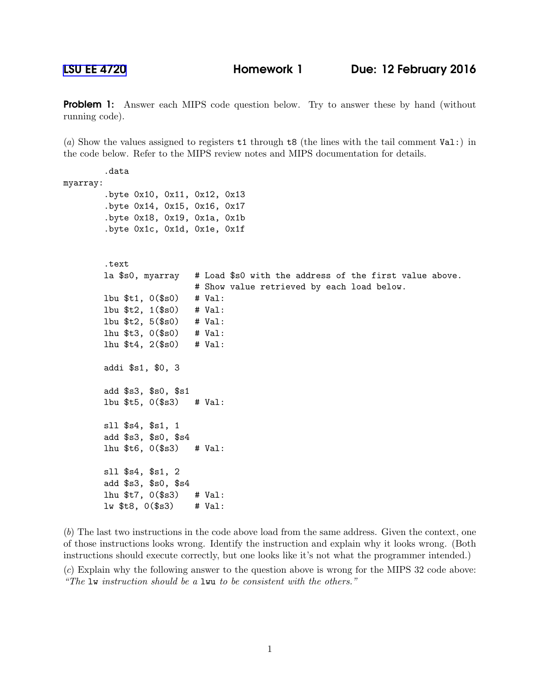**Problem 1:** Answer each MIPS code question below. Try to answer these by hand (without running code).

(a) Show the values assigned to registers t1 through t8 (the lines with the tail comment Val:) in the code below. Refer to the MIPS review notes and MIPS documentation for details.

```
.data
myarray:
        .byte 0x10, 0x11, 0x12, 0x13
        .byte 0x14, 0x15, 0x16, 0x17
        .byte 0x18, 0x19, 0x1a, 0x1b
        .byte 0x1c, 0x1d, 0x1e, 0x1f
        .text
        la $s0, myarray # Load $s0 with the address of the first value above.
                          # Show value retrieved by each load below.
       lbu $t1, 0($s0) # Val:
       lbu $t2, 1($s0) # Val:
       lbu $t2, 5($s0) # Val:
       lhu $t3, 0($s0) # Val:
       lhu $t4, 2($s0) # Val:
        addi $s1, $0, 3
        add $s3, $s0, $s1
       lbu $t5, 0($s3) # Val:
       sll $s4, $s1, 1
        add $s3, $s0, $s4
       lhu $t6, 0($s3) # Val:
       sll $s4, $s1, 2
        add $s3, $s0, $s4
       lhu $t7, 0($s3) # Val:
       lw $t8, 0($s3) # Val:
```
(b) The last two instructions in the code above load from the same address. Given the context, one of those instructions looks wrong. Identify the instruction and explain why it looks wrong. (Both instructions should execute correctly, but one looks like it's not what the programmer intended.) (c) Explain why the following answer to the question above is wrong for the MIPS 32 code above: "The lw instruction should be a lwu to be consistent with the others."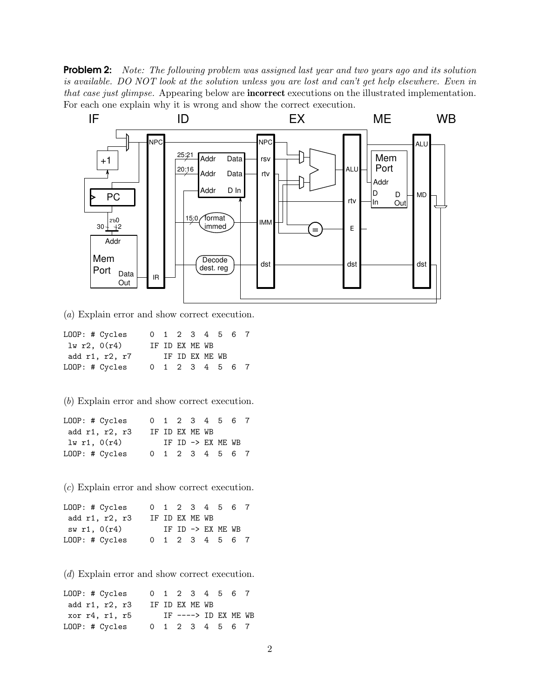**Problem 2:** Note: The following problem was assigned last year and two years ago and its solution is available. DO NOT look at the solution unless you are lost and can't get help elsewhere. Even in that case just glimpse. Appearing below are **incorrect** executions on the illustrated implementation. For each one explain why it is wrong and show the correct execution.



(a) Explain error and show correct execution.

| LOOP: # Cycles |  |                | 0 1 2 3 4 5 6 7 |  |
|----------------|--|----------------|-----------------|--|
| 1w r2, 0(r4)   |  | IF ID EX ME WB |                 |  |
| add r1, r2, r7 |  | IF ID EX ME WB |                 |  |
| LOOP: # Cycles |  |                | 0 1 2 3 4 5 6 7 |  |

(b) Explain error and show correct execution.

| LOOP: # Cycles |  |                | 0 1 2 3 4 5 6 7   |  |
|----------------|--|----------------|-------------------|--|
| add r1, r2, r3 |  | IF ID EX ME WB |                   |  |
| lw r1, $0(r4)$ |  |                | IF ID -> EX ME WB |  |
| LOOP: # Cycles |  |                | 0 1 2 3 4 5 6 7   |  |

(c) Explain error and show correct execution.

| LOOP: # Cycles |  |                | 0 1 2 3 4 5 6 7   |  |
|----------------|--|----------------|-------------------|--|
| add r1, r2, r3 |  | IF ID EX ME WB |                   |  |
| sw r1, 0(r4)   |  |                | IF ID -> EX ME WB |  |
| LOOP: # Cycles |  |                | 0 1 2 3 4 5 6 7   |  |

(d) Explain error and show correct execution.

LOOP: # Cycles 0 1 2 3 4 5 6 7 add r1, r2, r3 IF ID EX ME WB xor r4, r1, r5 IF ----> ID EX ME WB<br>LOOP: # Cycles 0 1 2 3 4 5 6 7 0 1 2 3 4 5 6 7